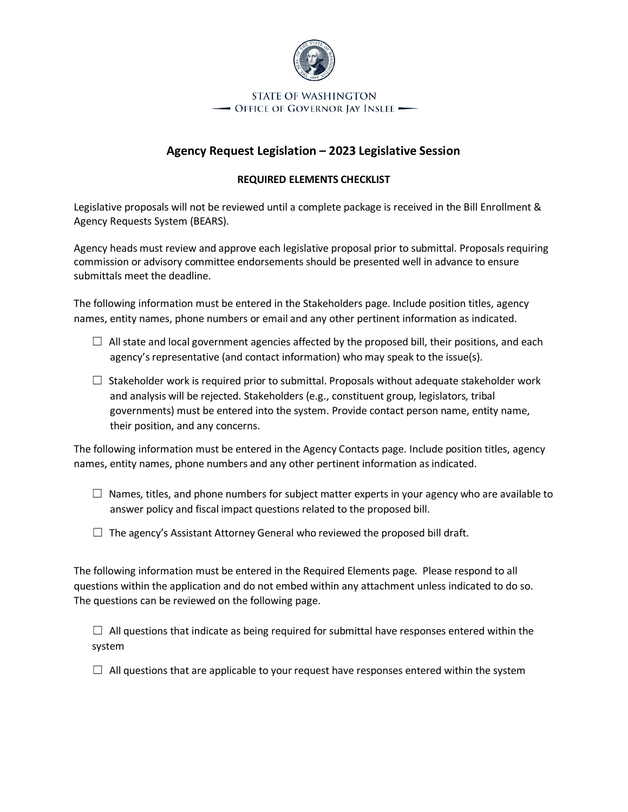

## **STATE OF WASHINGTON** - Office of Governor Jay Inslee -

## **Agency Request Legislation – 2023 Legislative Session**

## **REQUIRED ELEMENTS CHECKLIST**

Legislative proposals will not be reviewed until a complete package is received in the Bill Enrollment & Agency Requests System (BEARS).

Agency heads must review and approve each legislative proposal prior to submittal. Proposals requiring commission or advisory committee endorsements should be presented well in advance to ensure submittals meet the deadline.

The following information must be entered in the Stakeholders page. Include position titles, agency names, entity names, phone numbers or email and any other pertinent information as indicated.

- $\Box$  All state and local government agencies affected by the proposed bill, their positions, and each agency's representative (and contact information) who may speak to the issue(s).
- $\Box$  Stakeholder work is required prior to submittal. Proposals without adequate stakeholder work and analysis will be rejected. Stakeholders (e.g., constituent group, legislators, tribal governments) must be entered into the system. Provide contact person name, entity name, their position, and any concerns.

The following information must be entered in the Agency Contacts page. Include position titles, agency names, entity names, phone numbers and any other pertinent information as indicated.

- $\Box$  Names, titles, and phone numbers for subject matter experts in your agency who are available to answer policy and fiscal impact questions related to the proposed bill.
- $\Box$  The agency's Assistant Attorney General who reviewed the proposed bill draft.

The following information must be entered in the Required Elements page. Please respond to all questions within the application and do not embed within any attachment unless indicated to do so. The questions can be reviewed on the following page.

 $\Box$  All questions that indicate as being required for submittal have responses entered within the system

 $\Box$  All questions that are applicable to your request have responses entered within the system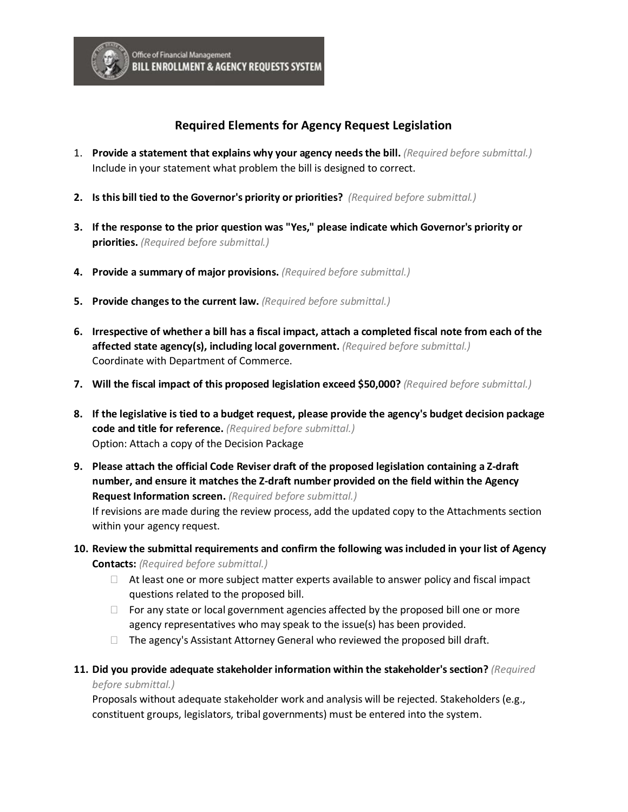

## **Required Elements for Agency Request Legislation**

- 1. **Provide a statement that explains why your agency needs the bill.** *(Required before submittal.)* Include in your statement what problem the bill is designed to correct.
- **2. Is this bill tied to the Governor's priority or priorities?** *(Required before submittal.)*
- **3. If the response to the prior question was "Yes," please indicate which Governor's priority or priorities.** *(Required before submittal.)*
- **4. Provide a summary of major provisions.** *(Required before submittal.)*
- **5. Provide changes to the current law.** *(Required before submittal.)*
- **6. Irrespective of whether a bill has a fiscal impact, attach a completed fiscal note from each of the affected state agency(s), including local government.** *(Required before submittal.)* Coordinate with Department of Commerce.
- **7. Will the fiscal impact of this proposed legislation exceed \$50,000?** *(Required before submittal.)*
- **8. If the legislative is tied to a budget request, please provide the agency's budget decision package code and title for reference.** *(Required before submittal.)* Option: Attach a copy of the Decision Package
- **9. Please attach the official Code Reviser draft of the proposed legislation containing a Z-draft number, and ensure it matches the Z-draft number provided on the field within the Agency Request Information screen.** *(Required before submittal.)*

If revisions are made during the review process, add the updated copy to the Attachments section within your agency request.

- **10. Review the submittal requirements and confirm the following was included in your list of Agency Contacts:** *(Required before submittal.)*
	- $\Box$  At least one or more subject matter experts available to answer policy and fiscal impact questions related to the proposed bill.
	- $\Box$  For any state or local government agencies affected by the proposed bill one or more agency representatives who may speak to the issue(s) has been provided.
	- $\Box$  The agency's Assistant Attorney General who reviewed the proposed bill draft.
- **11. Did you provide adequate stakeholder information within the stakeholder's section?** *(Required before submittal.)*

Proposals without adequate stakeholder work and analysis will be rejected. Stakeholders (e.g., constituent groups, legislators, tribal governments) must be entered into the system.